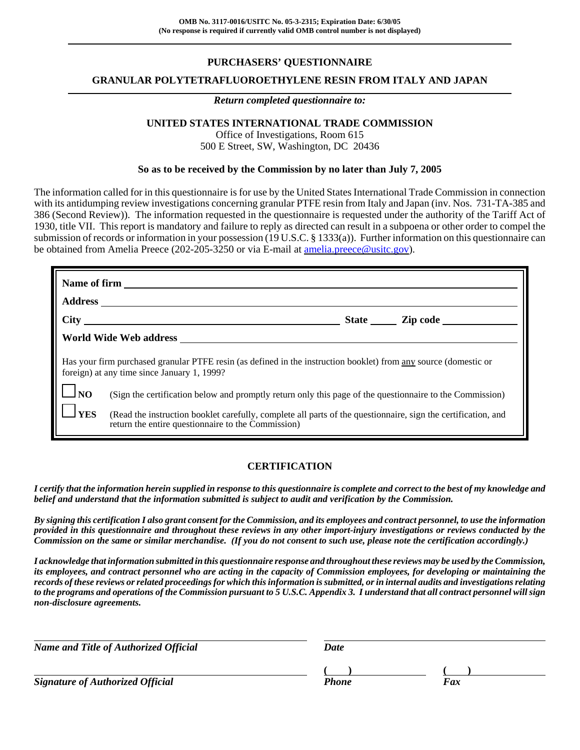### **PURCHASERS' QUESTIONNAIRE**

### **GRANULAR POLYTETRAFLUOROETHYLENE RESIN FROM ITALY AND JAPAN**

#### *Return completed questionnaire to:*

### **UNITED STATES INTERNATIONAL TRADE COMMISSION**

Office of Investigations, Room 615 500 E Street, SW, Washington, DC 20436

#### **So as to be received by the Commission by no later than July 7, 2005**

The information called for in this questionnaire is for use by the United States International Trade Commission in connection with its antidumping review investigations concerning granular PTFE resin from Italy and Japan (inv. Nos. 731-TA-385 and 386 (Second Review)). The information requested in the questionnaire is requested under the authority of the Tariff Act of 1930, title VII. This report is mandatory and failure to reply as directed can result in a subpoena or other order to compel the submission of records or information in your possession (19 U.S.C. § 1333(a)). Further information on this questionnaire can be obtained from Amelia Preece (202-205-3250 or via E-mail at amelia.preece@usitc.gov).

|                                                                                                                                                                 | State <u>Lipcode</u>                                                                                                                                                |  |  |  |
|-----------------------------------------------------------------------------------------------------------------------------------------------------------------|---------------------------------------------------------------------------------------------------------------------------------------------------------------------|--|--|--|
|                                                                                                                                                                 |                                                                                                                                                                     |  |  |  |
| Has your firm purchased granular PTFE resin (as defined in the instruction booklet) from any source (domestic or<br>foreign) at any time since January 1, 1999? |                                                                                                                                                                     |  |  |  |
| $\Box$ NO                                                                                                                                                       | (Sign the certification below and promptly return only this page of the questionnaire to the Commission)                                                            |  |  |  |
| <b>YES</b>                                                                                                                                                      | (Read the instruction booklet carefully, complete all parts of the questionnaire, sign the certification, and<br>return the entire questionnaire to the Commission) |  |  |  |

### **CERTIFICATION**

*I certify that the information herein supplied in response to this questionnaire is complete and correct to the best of my knowledge and belief and understand that the information submitted is subject to audit and verification by the Commission.*

*By signing this certification I also grant consent for the Commission, and its employees and contract personnel, to use the information provided in this questionnaire and throughout these reviews in any other import-injury investigations or reviews conducted by the Commission on the same or similar merchandise. (If you do not consent to such use, please note the certification accordingly.)*

*I acknowledge that information submitted in this questionnaire response and throughout these reviews may be used by the Commission, its employees, and contract personnel who are acting in the capacity of Commission employees, for developing or maintaining the records of these reviews or related proceedings for which this information is submitted, or in internal audits and investigations relating to the programs and operations of the Commission pursuant to 5 U.S.C. Appendix 3. I understand that all contract personnel will sign non-disclosure agreements.*

| <b>Name and Title of Authorized Official</b> | Date |
|----------------------------------------------|------|
|----------------------------------------------|------|

*Signature of Authorized Official Fax Fax Fax* 

**( ) ( )**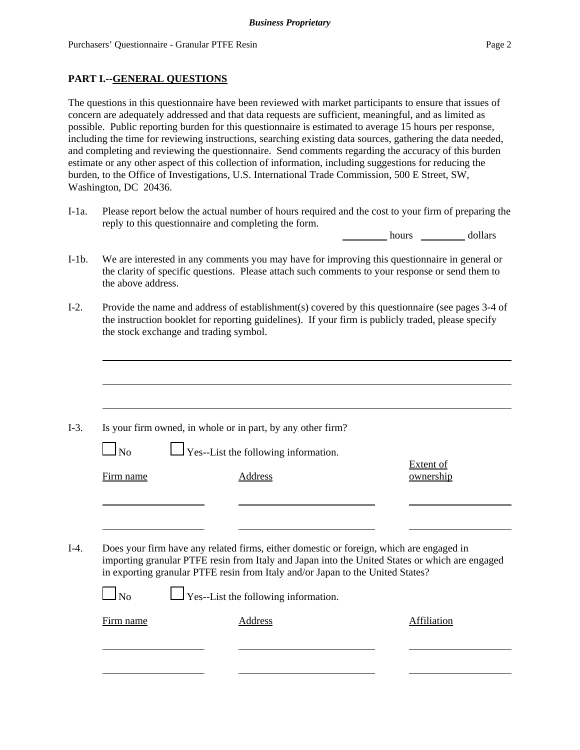The questions in this questionnaire have been reviewed with market participants to ensure that issues of concern are adequately addressed and that data requests are sufficient, meaningful, and as limited as possible. Public reporting burden for this questionnaire is estimated to average 15 hours per response, including the time for reviewing instructions, searching existing data sources, gathering the data needed, and completing and reviewing the questionnaire. Send comments regarding the accuracy of this burden estimate or any other aspect of this collection of information, including suggestions for reducing the burden, to the Office of Investigations, U.S. International Trade Commission, 500 E Street, SW, Washington, DC 20436.

I-1a. Please report below the actual number of hours required and the cost to your firm of preparing the reply to this questionnaire and completing the form.

hours dollars

- I-1b. We are interested in any comments you may have for improving this questionnaire in general or the clarity of specific questions. Please attach such comments to your response or send them to the above address.
- I-2. Provide the name and address of establishment(s) covered by this questionnaire (see pages 3-4 of the instruction booklet for reporting guidelines). If your firm is publicly traded, please specify the stock exchange and trading symbol.

|           | Is your firm owned, in whole or in part, by any other firm?                                                                                                                                                                                                                 |                               |
|-----------|-----------------------------------------------------------------------------------------------------------------------------------------------------------------------------------------------------------------------------------------------------------------------------|-------------------------------|
| $\Box$ No | $\Box$ Yes--List the following information.                                                                                                                                                                                                                                 |                               |
| Firm name | Address                                                                                                                                                                                                                                                                     | <b>Extent of</b><br>ownership |
|           |                                                                                                                                                                                                                                                                             |                               |
|           |                                                                                                                                                                                                                                                                             |                               |
|           |                                                                                                                                                                                                                                                                             |                               |
|           | Does your firm have any related firms, either domestic or foreign, which are engaged in<br>importing granular PTFE resin from Italy and Japan into the United States or which are engaged<br>in exporting granular PTFE resin from Italy and/or Japan to the United States? |                               |
| <b>No</b> | $\Box$ Yes--List the following information.                                                                                                                                                                                                                                 |                               |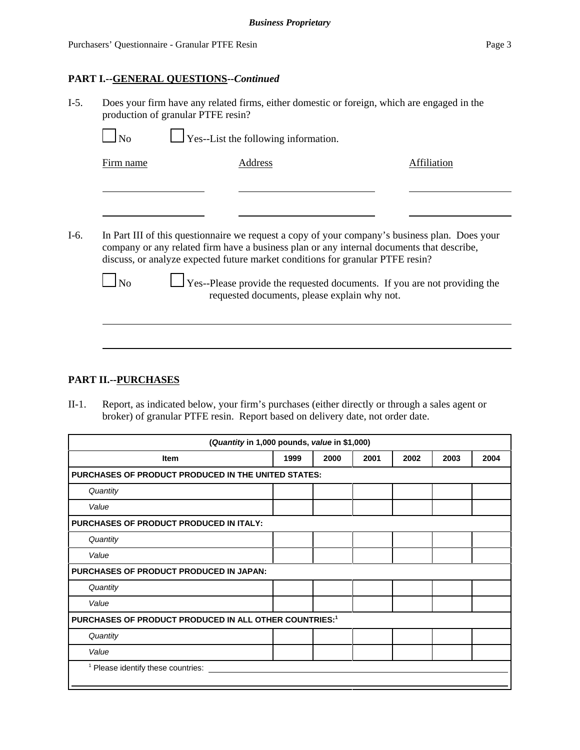### **PART I.--GENERAL QUESTIONS--***Continued*

| $I-5$ . | Does your firm have any related firms, either domestic or foreign, which are engaged in the<br>production of granular PTFE resin? |                                             |  |             |
|---------|-----------------------------------------------------------------------------------------------------------------------------------|---------------------------------------------|--|-------------|
|         | $\overline{\phantom{a}}$ No                                                                                                       | $\Box$ Yes--List the following information. |  |             |
|         | Firm name                                                                                                                         | Address                                     |  | Affiliation |
|         |                                                                                                                                   |                                             |  |             |

I-6. In Part III of this questionnaire we request a copy of your company's business plan. Does your company or any related firm have a business plan or any internal documents that describe, discuss, or analyze expected future market conditions for granular PTFE resin?

 $\Box$  No  $\Box$  Yes--Please provide the requested documents. If you are not providing the requested documents, please explain why not.

### **PART II.--PURCHASES**

II-1. Report, as indicated below, your firm's purchases (either directly or through a sales agent or broker) of granular PTFE resin. Report based on delivery date, not order date.

| (Quantity in 1,000 pounds, value in \$1,000)                       |      |      |      |      |      |      |
|--------------------------------------------------------------------|------|------|------|------|------|------|
| <b>Item</b>                                                        | 1999 | 2000 | 2001 | 2002 | 2003 | 2004 |
| <b>PURCHASES OF PRODUCT PRODUCED IN THE UNITED STATES:</b>         |      |      |      |      |      |      |
| Quantity                                                           |      |      |      |      |      |      |
| Value                                                              |      |      |      |      |      |      |
| <b>PURCHASES OF PRODUCT PRODUCED IN ITALY:</b>                     |      |      |      |      |      |      |
| Quantity                                                           |      |      |      |      |      |      |
| Value                                                              |      |      |      |      |      |      |
| <b>PURCHASES OF PRODUCT PRODUCED IN JAPAN:</b>                     |      |      |      |      |      |      |
| Quantity                                                           |      |      |      |      |      |      |
| Value                                                              |      |      |      |      |      |      |
| PURCHASES OF PRODUCT PRODUCED IN ALL OTHER COUNTRIES: <sup>1</sup> |      |      |      |      |      |      |
| Quantity                                                           |      |      |      |      |      |      |
| Value                                                              |      |      |      |      |      |      |
| <sup>1</sup> Please identify these countries:                      |      |      |      |      |      |      |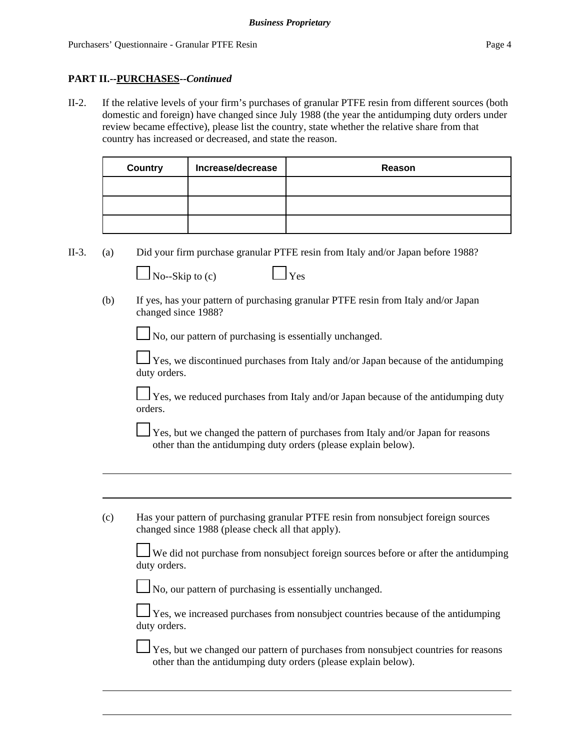### **PART II.--PURCHASES--***Continued*

II-2. If the relative levels of your firm's purchases of granular PTFE resin from different sources (both domestic and foreign) have changed since July 1988 (the year the antidumping duty orders under review became effective), please list the country, state whether the relative share from that country has increased or decreased, and state the reason.

| Country | Increase/decrease | Reason |
|---------|-------------------|--------|
|         |                   |        |
|         |                   |        |
|         |                   |        |

II-3. (a) Did your firm purchase granular PTFE resin from Italy and/or Japan before 1988?

| $\Box$ No--Skip to (c) | $\Box$ Yes |
|------------------------|------------|
|                        |            |

(b) If yes, has your pattern of purchasing granular PTFE resin from Italy and/or Japan changed since 1988?

No, our pattern of purchasing is essentially unchanged.

 $\perp$  Yes, we discontinued purchases from Italy and/or Japan because of the antidumping duty orders.

 $\perp$  Yes, we reduced purchases from Italy and/or Japan because of the antidumping duty orders.

 $\perp$  Yes, but we changed the pattern of purchases from Italy and/or Japan for reasons other than the antidumping duty orders (please explain below).

(c) Has your pattern of purchasing granular PTFE resin from nonsubject foreign sources changed since 1988 (please check all that apply).

We did not purchase from nonsubject foreign sources before or after the antidumping duty orders.

No, our pattern of purchasing is essentially unchanged.

Yes, we increased purchases from nonsubject countries because of the antidumping duty orders.

 Yes, but we changed our pattern of purchases from nonsubject countries for reasons other than the antidumping duty orders (please explain below).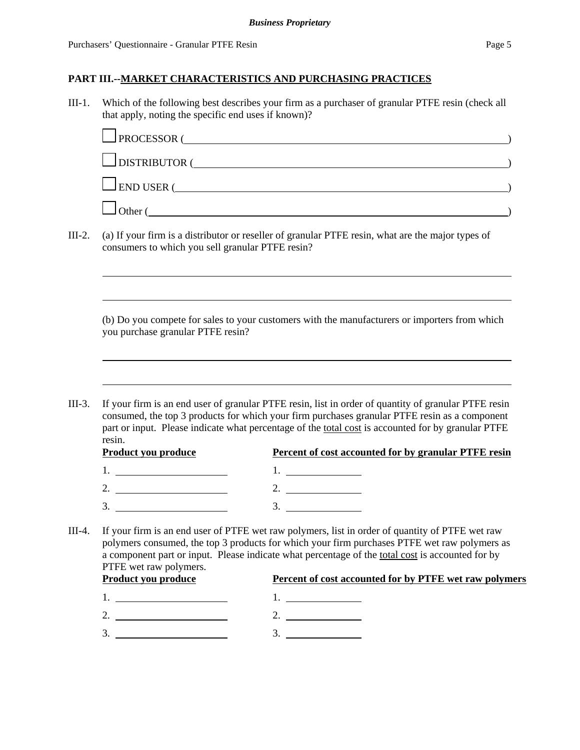III-1. Which of the following best describes your firm as a purchaser of granular PTFE resin (check all that apply, noting the specific end uses if known)?

|        | $\Box$ PROCESSOR (                                                                                                                                    |  |
|--------|-------------------------------------------------------------------------------------------------------------------------------------------------------|--|
|        | $\Box$ DISTRIBUTOR $\Box$                                                                                                                             |  |
|        | $\Box$ END USER $\Box$                                                                                                                                |  |
|        | $\Box$ Other (                                                                                                                                        |  |
| III-2. | (a) If your firm is a distributor or reseller of granular PTFE resin, what are the major types of<br>consumers to which you sell granular PTFE resin? |  |
|        |                                                                                                                                                       |  |

(b) Do you compete for sales to your customers with the manufacturers or importers from which you purchase granular PTFE resin?

III-3. If your firm is an end user of granular PTFE resin, list in order of quantity of granular PTFE resin consumed, the top 3 products for which your firm purchases granular PTFE resin as a component part or input. Please indicate what percentage of the total cost is accounted for by granular PTFE resin.

| <b>Product you produce</b> | <b>Percent of cost accounted for by granular PTFE resin</b> |
|----------------------------|-------------------------------------------------------------|
|                            |                                                             |
|                            |                                                             |
|                            |                                                             |

III-4. If your firm is an end user of PTFE wet raw polymers, list in order of quantity of PTFE wet raw polymers consumed, the top 3 products for which your firm purchases PTFE wet raw polymers as a component part or input. Please indicate what percentage of the total cost is accounted for by PTFE wet raw polymers.

| <b>Product you produce</b> | Percent of cost accounted for by PTFE wet raw polymers |
|----------------------------|--------------------------------------------------------|
|                            |                                                        |
|                            |                                                        |
|                            |                                                        |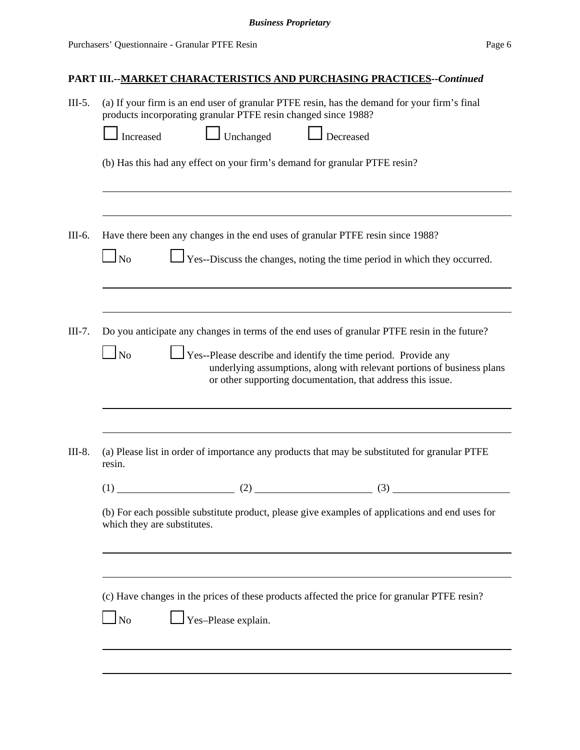| $III-5.$ | (a) If your firm is an end user of granular PTFE resin, has the demand for your firm's final<br>products incorporating granular PTFE resin changed since 1988?                                                              |
|----------|-----------------------------------------------------------------------------------------------------------------------------------------------------------------------------------------------------------------------------|
|          | Unchanged Decreased<br>Increased                                                                                                                                                                                            |
|          | (b) Has this had any effect on your firm's demand for granular PTFE resin?                                                                                                                                                  |
|          |                                                                                                                                                                                                                             |
| III-6.   | Have there been any changes in the end uses of granular PTFE resin since 1988?                                                                                                                                              |
|          | Yes--Discuss the changes, noting the time period in which they occurred.<br>$\Box$ No                                                                                                                                       |
|          |                                                                                                                                                                                                                             |
| $III-7.$ | Do you anticipate any changes in terms of the end uses of granular PTFE resin in the future?                                                                                                                                |
|          | $\Box$ No<br>$\Box$ Yes--Please describe and identify the time period. Provide any<br>underlying assumptions, along with relevant portions of business plans<br>or other supporting documentation, that address this issue. |
|          |                                                                                                                                                                                                                             |
| III-8.   | (a) Please list in order of importance any products that may be substituted for granular PTFE<br>resin.                                                                                                                     |
|          | (1) (2) (3) (3) (3)                                                                                                                                                                                                         |
|          | (b) For each possible substitute product, please give examples of applications and end uses for<br>which they are substitutes.                                                                                              |
|          |                                                                                                                                                                                                                             |
|          | (c) Have changes in the prices of these products affected the price for granular PTFE resin?                                                                                                                                |
|          | Yes-Please explain.<br>$\Box$ No                                                                                                                                                                                            |
|          |                                                                                                                                                                                                                             |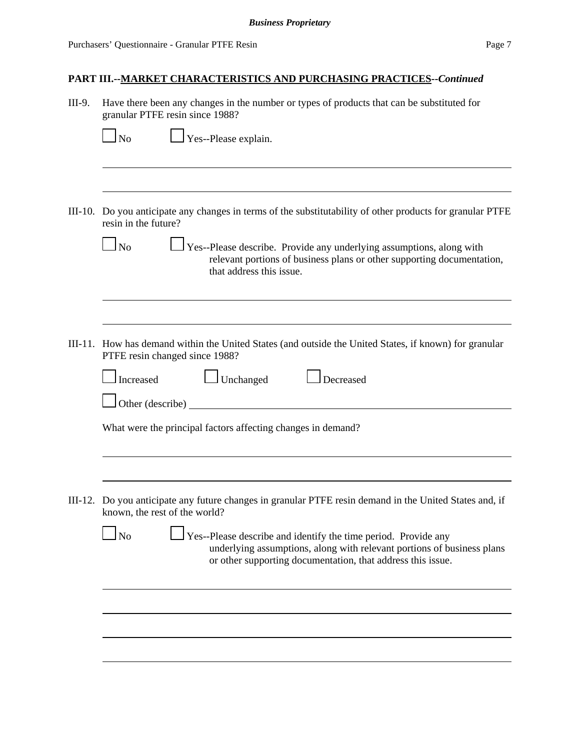| III-9.  | Have there been any changes in the number or types of products that can be substituted for<br>granular PTFE resin since 1988?                                                                                                                                                                                                 |  |  |
|---------|-------------------------------------------------------------------------------------------------------------------------------------------------------------------------------------------------------------------------------------------------------------------------------------------------------------------------------|--|--|
|         | $\Box$ Yes--Please explain.<br>$\Box$ No                                                                                                                                                                                                                                                                                      |  |  |
|         | III-10. Do you anticipate any changes in terms of the substitutability of other products for granular PTFE<br>resin in the future?<br>$\Box$ No<br>Yes--Please describe. Provide any underlying assumptions, along with<br>relevant portions of business plans or other supporting documentation,<br>that address this issue. |  |  |
|         | III-11. How has demand within the United States (and outside the United States, if known) for granular<br>PTFE resin changed since 1988?                                                                                                                                                                                      |  |  |
|         | $\Box$ Unchanged<br>Decreased<br>Increased<br>Other (describe)                                                                                                                                                                                                                                                                |  |  |
|         | What were the principal factors affecting changes in demand?                                                                                                                                                                                                                                                                  |  |  |
| III-12. | Do you anticipate any future changes in granular PTFE resin demand in the United States and, if<br>known, the rest of the world?                                                                                                                                                                                              |  |  |
|         | 1N <sub>0</sub><br>Yes--Please describe and identify the time period. Provide any<br>underlying assumptions, along with relevant portions of business plans<br>or other supporting documentation, that address this issue.                                                                                                    |  |  |
|         |                                                                                                                                                                                                                                                                                                                               |  |  |
|         |                                                                                                                                                                                                                                                                                                                               |  |  |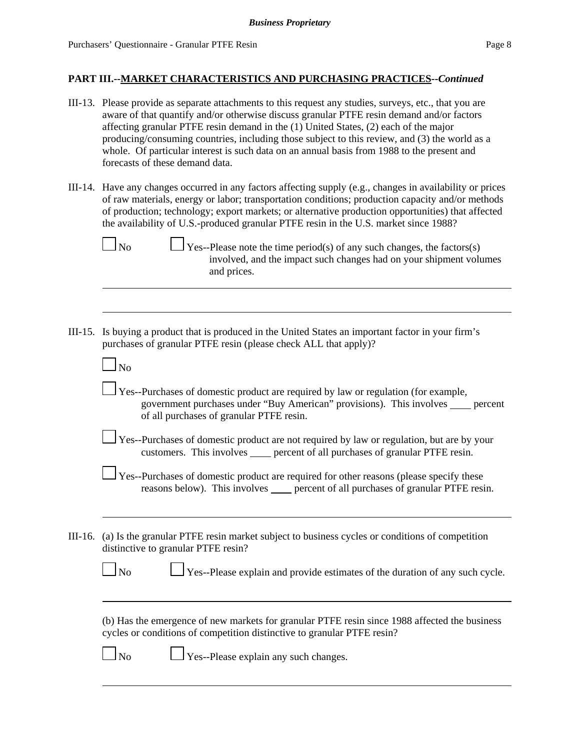- III-13. Please provide as separate attachments to this request any studies, surveys, etc., that you are aware of that quantify and/or otherwise discuss granular PTFE resin demand and/or factors affecting granular PTFE resin demand in the (1) United States, (2) each of the major producing/consuming countries, including those subject to this review, and (3) the world as a whole. Of particular interest is such data on an annual basis from 1988 to the present and forecasts of these demand data.
- III-14. Have any changes occurred in any factors affecting supply (e.g., changes in availability or prices of raw materials, energy or labor; transportation conditions; production capacity and/or methods of production; technology; export markets; or alternative production opportunities) that affected the availability of U.S.-produced granular PTFE resin in the U.S. market since 1988?



 $\Box$  No  $\Box$  Yes--Please note the time period(s) of any such changes, the factors(s) involved, and the impact such changes had on your shipment volumes and prices.

III-15. Is buying a product that is produced in the United States an important factor in your firm's purchases of granular PTFE resin (please check ALL that apply)?

| $\Box$ No                                                                                                                                                 |  |
|-----------------------------------------------------------------------------------------------------------------------------------------------------------|--|
| Yes--Purchases of domestic product are required by law or regulation (for example,<br>government purchases under "Ruy American" provisions) This involves |  |

- government purchases under "Buy American" provisions). This involves \_\_\_\_\_ percent of all purchases of granular PTFE resin.
- Yes--Purchases of domestic product are not required by law or regulation, but are by your customers. This involves percent of all purchases of granular PTFE resin.
- Yes--Purchases of domestic product are required for other reasons (please specify these reasons below). This involves <u>percent of all purchases of granular PTFE resin</u>.
- III-16. (a) Is the granular PTFE resin market subject to business cycles or conditions of competition distinctive to granular PTFE resin?

| ×<br>۰, |
|---------|
|---------|

 $\perp$  Yes--Please explain and provide estimates of the duration of any such cycle.

(b) Has the emergence of new markets for granular PTFE resin since 1988 affected the business cycles or conditions of competition distinctive to granular PTFE resin?

| ×<br>۰, |
|---------|
|---------|

 $\Box$  Yes--Please explain any such changes.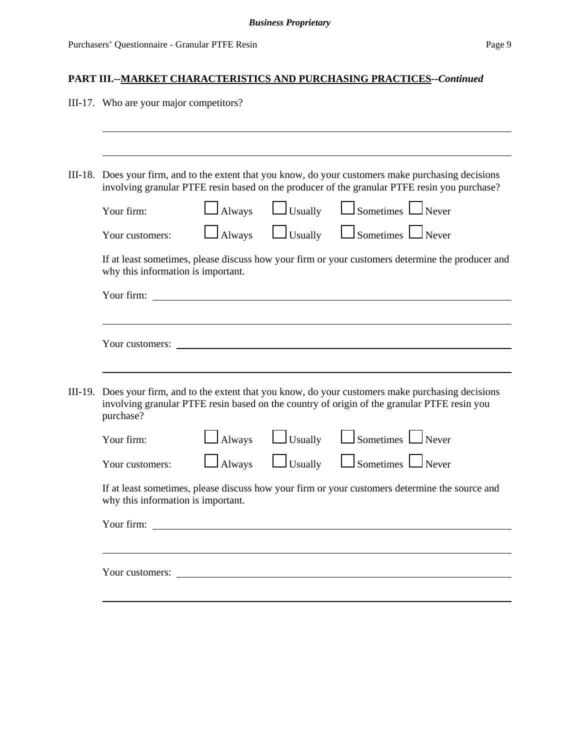| III-17. Who are your major competitors?                                                                                                                                                                          |
|------------------------------------------------------------------------------------------------------------------------------------------------------------------------------------------------------------------|
|                                                                                                                                                                                                                  |
| III-18. Does your firm, and to the extent that you know, do your customers make purchasing decisions<br>involving granular PTFE resin based on the producer of the granular PTFE resin you purchase?             |
| $\Box$ Always $\Box$ Usually $\Box$ Sometimes $\Box$ Never<br>Your firm:                                                                                                                                         |
| $\Box$ Sometimes $\Box$ Never<br>$\Box$ Usually<br>$\Box$ Always<br>Your customers:                                                                                                                              |
| If at least sometimes, please discuss how your firm or your customers determine the producer and<br>why this information is important.                                                                           |
|                                                                                                                                                                                                                  |
|                                                                                                                                                                                                                  |
| Your customers: _                                                                                                                                                                                                |
|                                                                                                                                                                                                                  |
| III-19. Does your firm, and to the extent that you know, do your customers make purchasing decisions<br>involving granular PTFE resin based on the country of origin of the granular PTFE resin you<br>purchase? |
| $\Box$ Sometimes $\Box$ Never<br>$\Box$ Usually<br>$\Box$ Always<br>Your firm:                                                                                                                                   |
| $\Box$ Sometimes $\Box$ Never<br>$\Box$ Usually<br>$\Box$ Always<br>Your customers:                                                                                                                              |
| If at least sometimes, please discuss how your firm or your customers determine the source and<br>why this information is important.                                                                             |
| Your firm:                                                                                                                                                                                                       |
|                                                                                                                                                                                                                  |
| Your customers:                                                                                                                                                                                                  |
|                                                                                                                                                                                                                  |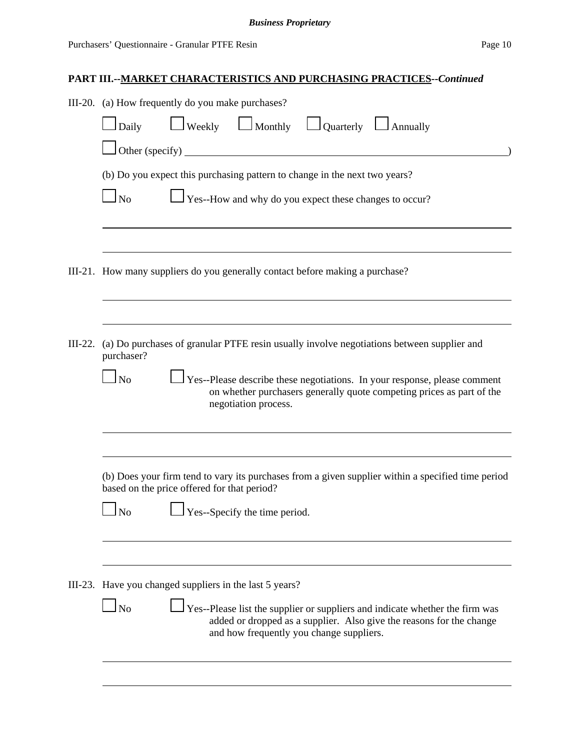| III-20. (a) How frequently do you make purchases?                                                                                                                                                                    |  |  |  |  |  |
|----------------------------------------------------------------------------------------------------------------------------------------------------------------------------------------------------------------------|--|--|--|--|--|
| $\Box$ Weekly $\Box$ Monthly $\Box$ Quarterly $\Box$ Annually<br>Daily                                                                                                                                               |  |  |  |  |  |
| $\Box$ Other (specify)                                                                                                                                                                                               |  |  |  |  |  |
| (b) Do you expect this purchasing pattern to change in the next two years?                                                                                                                                           |  |  |  |  |  |
| $\perp$ Yes--How and why do you expect these changes to occur?<br>$\ln$                                                                                                                                              |  |  |  |  |  |
|                                                                                                                                                                                                                      |  |  |  |  |  |
| III-21. How many suppliers do you generally contact before making a purchase?                                                                                                                                        |  |  |  |  |  |
|                                                                                                                                                                                                                      |  |  |  |  |  |
| III-22. (a) Do purchases of granular PTFE resin usually involve negotiations between supplier and<br>purchaser?                                                                                                      |  |  |  |  |  |
| $\Box$ Yes--Please describe these negotiations. In your response, please comment<br>$\Box$ No<br>on whether purchasers generally quote competing prices as part of the<br>negotiation process.                       |  |  |  |  |  |
|                                                                                                                                                                                                                      |  |  |  |  |  |
| (b) Does your firm tend to vary its purchases from a given supplier within a specified time period<br>based on the price offered for that period?                                                                    |  |  |  |  |  |
| $\Box$ Yes--Specify the time period.<br>N <sub>o</sub>                                                                                                                                                               |  |  |  |  |  |
|                                                                                                                                                                                                                      |  |  |  |  |  |
| III-23. Have you changed suppliers in the last 5 years?                                                                                                                                                              |  |  |  |  |  |
| $\Box$ No<br>$\Box$ Yes--Please list the supplier or suppliers and indicate whether the firm was<br>added or dropped as a supplier. Also give the reasons for the change<br>and how frequently you change suppliers. |  |  |  |  |  |
|                                                                                                                                                                                                                      |  |  |  |  |  |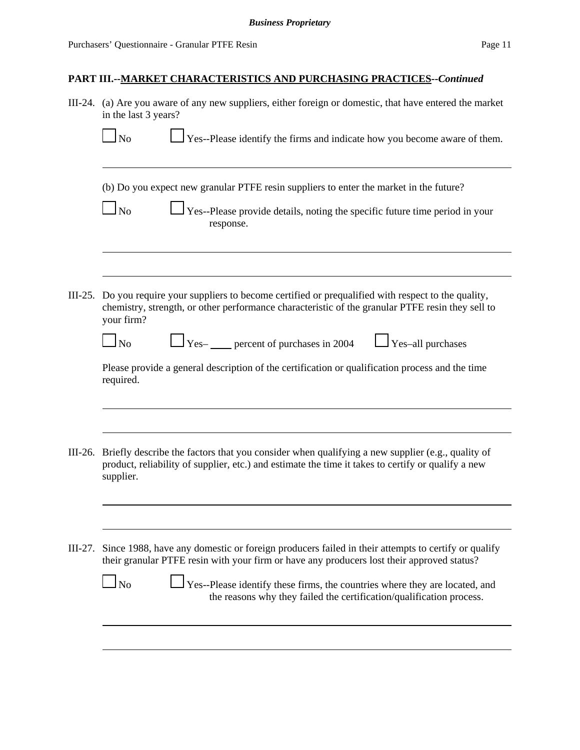|           | III-24. (a) Are you aware of any new suppliers, either foreign or domestic, that have entered the market<br>in the last 3 years?                                                                                           |  |  |
|-----------|----------------------------------------------------------------------------------------------------------------------------------------------------------------------------------------------------------------------------|--|--|
|           | Yes--Please identify the firms and indicate how you become aware of them.<br>$\Box$ No                                                                                                                                     |  |  |
|           | (b) Do you expect new granular PTFE resin suppliers to enter the market in the future?                                                                                                                                     |  |  |
|           | $\Box$ No<br>$\perp$ Yes--Please provide details, noting the specific future time period in your<br>response.                                                                                                              |  |  |
|           | III-25. Do you require your suppliers to become certified or prequalified with respect to the quality,                                                                                                                     |  |  |
|           | chemistry, strength, or other performance characteristic of the granular PTFE resin they sell to<br>your firm?                                                                                                             |  |  |
|           | $\sum$ Yes- percent of purchases in 2004<br>$\Box$ Yes-all purchases<br>$\Box$ No                                                                                                                                          |  |  |
|           | Please provide a general description of the certification or qualification process and the time<br>required.                                                                                                               |  |  |
|           |                                                                                                                                                                                                                            |  |  |
|           | III-26. Briefly describe the factors that you consider when qualifying a new supplier (e.g., quality of<br>product, reliability of supplier, etc.) and estimate the time it takes to certify or qualify a new<br>supplier. |  |  |
|           |                                                                                                                                                                                                                            |  |  |
| $III-27.$ | Since 1988, have any domestic or foreign producers failed in their attempts to certify or qualify<br>their granular PTFE resin with your firm or have any producers lost their approved status?                            |  |  |
|           | Yes--Please identify these firms, the countries where they are located, and<br>N <sub>o</sub><br>the reasons why they failed the certification/qualification process.                                                      |  |  |
|           |                                                                                                                                                                                                                            |  |  |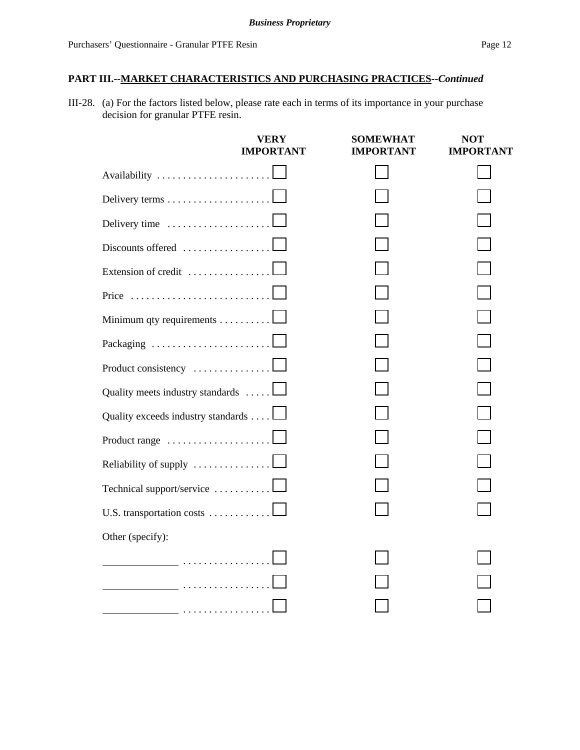III-28. (a) For the factors listed below, please rate each in terms of its importance in your purchase decision for granular PTFE resin.

|                                                      | VERY<br><b>IMPORTANT</b> | <b>SOMEWHAT</b><br>IMPORTANT | NOT<br><b>IMPORTANT</b> |
|------------------------------------------------------|--------------------------|------------------------------|-------------------------|
|                                                      |                          |                              |                         |
|                                                      |                          |                              |                         |
| Delivery time                                        |                          |                              |                         |
| Discounts offered $\dots\dots\dots\dots\dots\dots$   |                          |                              |                         |
| Extension of credit $\dots\dots\dots\dots\dots\dots$ |                          |                              |                         |
| Price                                                |                          |                              |                         |
| Minimum qty requirements 1                           |                          |                              |                         |
| Packaging                                            |                          |                              |                         |
| Product consistency                                  |                          |                              |                         |
| Quality meets industry standards                     |                          |                              |                         |
| Quality exceeds industry standards                   |                          |                              |                         |
| Product range                                        |                          |                              |                         |
| Reliability of supply                                |                          |                              |                         |
| Technical support/service                            |                          |                              |                         |
| U.S. transportation costs $\dots \dots \dots \dots$  |                          |                              |                         |
| Other (specify):                                     |                          |                              |                         |
|                                                      |                          |                              |                         |
|                                                      |                          |                              |                         |
|                                                      |                          |                              |                         |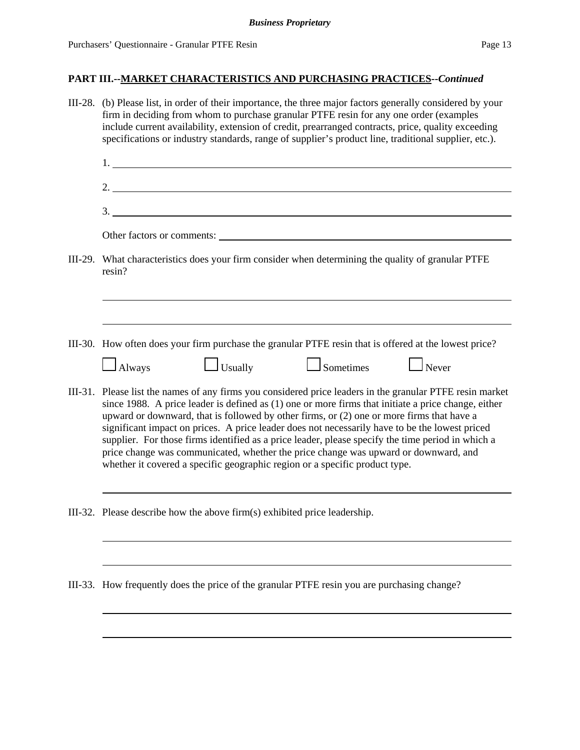| III-28. (b) Please list, in order of their importance, the three major factors generally considered by your<br>firm in deciding from whom to purchase granular PTFE resin for any one order (examples<br>include current availability, extension of credit, prearranged contracts, price, quality exceeding<br>specifications or industry standards, range of supplier's product line, traditional supplier, etc.).                                                                                                                                                                                                                                                                        |  |  |
|--------------------------------------------------------------------------------------------------------------------------------------------------------------------------------------------------------------------------------------------------------------------------------------------------------------------------------------------------------------------------------------------------------------------------------------------------------------------------------------------------------------------------------------------------------------------------------------------------------------------------------------------------------------------------------------------|--|--|
|                                                                                                                                                                                                                                                                                                                                                                                                                                                                                                                                                                                                                                                                                            |  |  |
| 2.                                                                                                                                                                                                                                                                                                                                                                                                                                                                                                                                                                                                                                                                                         |  |  |
| 3.                                                                                                                                                                                                                                                                                                                                                                                                                                                                                                                                                                                                                                                                                         |  |  |
| Other factors or comments:                                                                                                                                                                                                                                                                                                                                                                                                                                                                                                                                                                                                                                                                 |  |  |
| III-29. What characteristics does your firm consider when determining the quality of granular PTFE<br>resin?                                                                                                                                                                                                                                                                                                                                                                                                                                                                                                                                                                               |  |  |
|                                                                                                                                                                                                                                                                                                                                                                                                                                                                                                                                                                                                                                                                                            |  |  |
| III-30. How often does your firm purchase the granular PTFE resin that is offered at the lowest price?                                                                                                                                                                                                                                                                                                                                                                                                                                                                                                                                                                                     |  |  |
| $\Box$ Usually<br>$\Box$ Sometimes<br>$\Box$ Never<br>$\Box$ Always                                                                                                                                                                                                                                                                                                                                                                                                                                                                                                                                                                                                                        |  |  |
| III-31. Please list the names of any firms you considered price leaders in the granular PTFE resin market<br>since 1988. A price leader is defined as (1) one or more firms that initiate a price change, either<br>upward or downward, that is followed by other firms, or (2) one or more firms that have a<br>significant impact on prices. A price leader does not necessarily have to be the lowest priced<br>supplier. For those firms identified as a price leader, please specify the time period in which a<br>price change was communicated, whether the price change was upward or downward, and<br>whether it covered a specific geographic region or a specific product type. |  |  |
| III-32. Please describe how the above firm $(s)$ exhibited price leadership.                                                                                                                                                                                                                                                                                                                                                                                                                                                                                                                                                                                                               |  |  |
|                                                                                                                                                                                                                                                                                                                                                                                                                                                                                                                                                                                                                                                                                            |  |  |
| III-33. How frequently does the price of the granular PTFE resin you are purchasing change?                                                                                                                                                                                                                                                                                                                                                                                                                                                                                                                                                                                                |  |  |
|                                                                                                                                                                                                                                                                                                                                                                                                                                                                                                                                                                                                                                                                                            |  |  |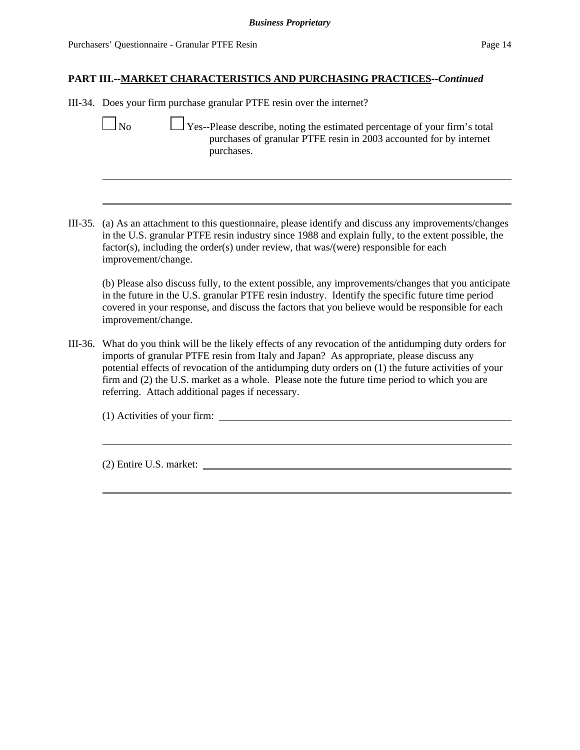III-34. Does your firm purchase granular PTFE resin over the internet?

- No  $\Box$  Yes--Please describe, noting the estimated percentage of your firm's total purchases of granular PTFE resin in 2003 accounted for by internet purchases.
- III-35. (a) As an attachment to this questionnaire, please identify and discuss any improvements/changes in the U.S. granular PTFE resin industry since 1988 and explain fully, to the extent possible, the factor(s), including the order(s) under review, that was/(were) responsible for each improvement/change.

(b) Please also discuss fully, to the extent possible, any improvements/changes that you anticipate in the future in the U.S. granular PTFE resin industry. Identify the specific future time period covered in your response, and discuss the factors that you believe would be responsible for each improvement/change.

III-36. What do you think will be the likely effects of any revocation of the antidumping duty orders for imports of granular PTFE resin from Italy and Japan? As appropriate, please discuss any potential effects of revocation of the antidumping duty orders on (1) the future activities of your firm and (2) the U.S. market as a whole. Please note the future time period to which you are referring. Attach additional pages if necessary.

(1) Activities of your firm:

(2) Entire U.S. market: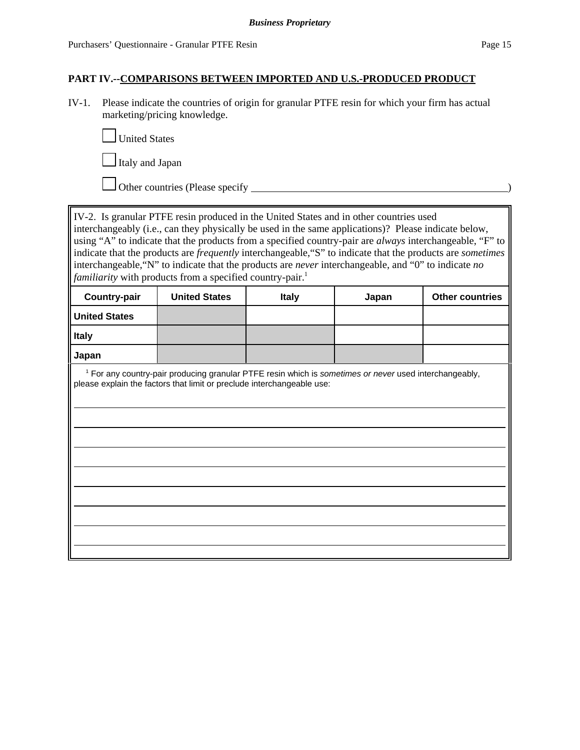### **PART IV.--COMPARISONS BETWEEN IMPORTED AND U.S.-PRODUCED PRODUCT**

IV-1. Please indicate the countries of origin for granular PTFE resin for which your firm has actual marketing/pricing knowledge.



I Italy and Japan

Other countries (Please specify )

IV-2. Is granular PTFE resin produced in the United States and in other countries used interchangeably (i.e., can they physically be used in the same applications)? Please indicate below, using "A" to indicate that the products from a specified country-pair are *always* interchangeable, "F" to indicate that the products are *frequently* interchangeable,"S" to indicate that the products are *sometimes* interchangeable,"N" to indicate that the products are *never* interchangeable, and "0" to indicate *no familiarity* with products from a specified country-pair.<sup>1</sup>

| <b>Country-pair</b>  | <b>United States</b>                                                                                                                                                                        | <b>Italy</b> | Japan | <b>Other countries</b> |
|----------------------|---------------------------------------------------------------------------------------------------------------------------------------------------------------------------------------------|--------------|-------|------------------------|
| <b>United States</b> |                                                                                                                                                                                             |              |       |                        |
| <b>Italy</b>         |                                                                                                                                                                                             |              |       |                        |
| Japan                |                                                                                                                                                                                             |              |       |                        |
|                      | <sup>1</sup> For any country-pair producing granular PTFE resin which is sometimes or never used interchangeably,<br>please explain the factors that limit or preclude interchangeable use: |              |       |                        |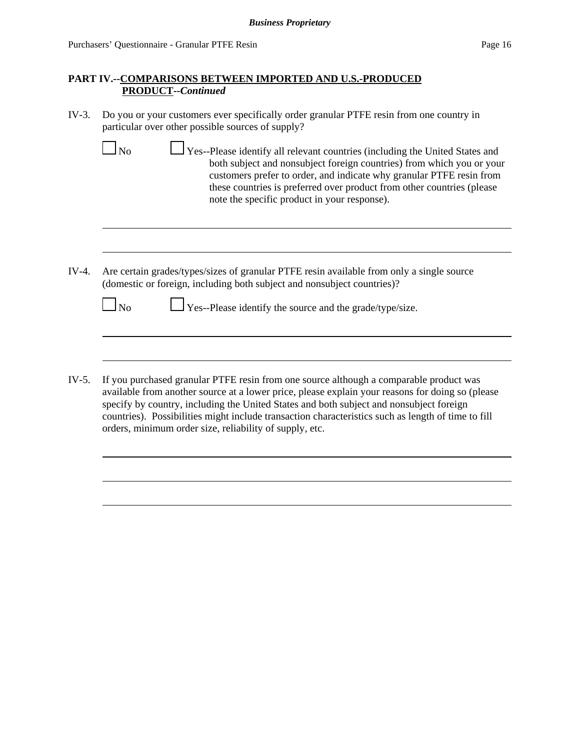$\blacksquare$ 

### **PART IV.--COMPARISONS BETWEEN IMPORTED AND U.S.-PRODUCED PRODUCT--***Continued*

| IV-3. Do you or your customers ever specifically order granular PTFE resin from one country in |
|------------------------------------------------------------------------------------------------|
| particular over other possible sources of supply?                                              |

| $\Box$ No | $\Box$ Yes--Please identify all relevant countries (including the United States and                                                                                                                                                                                      |
|-----------|--------------------------------------------------------------------------------------------------------------------------------------------------------------------------------------------------------------------------------------------------------------------------|
|           | both subject and nonsubject foreign countries) from which you or your<br>customers prefer to order, and indicate why granular PTFE resin from<br>these countries is preferred over product from other countries (please)<br>note the specific product in your response). |
|           |                                                                                                                                                                                                                                                                          |
|           |                                                                                                                                                                                                                                                                          |

IV-4. Are certain grades/types/sizes of granular PTFE resin available from only a single source (domestic or foreign, including both subject and nonsubject countries)?

 $\Box$  No  $\Box$  Yes--Please identify the source and the grade/type/size.

IV-5. If you purchased granular PTFE resin from one source although a comparable product was available from another source at a lower price, please explain your reasons for doing so (please specify by country, including the United States and both subject and nonsubject foreign countries). Possibilities might include transaction characteristics such as length of time to fill orders, minimum order size, reliability of supply, etc.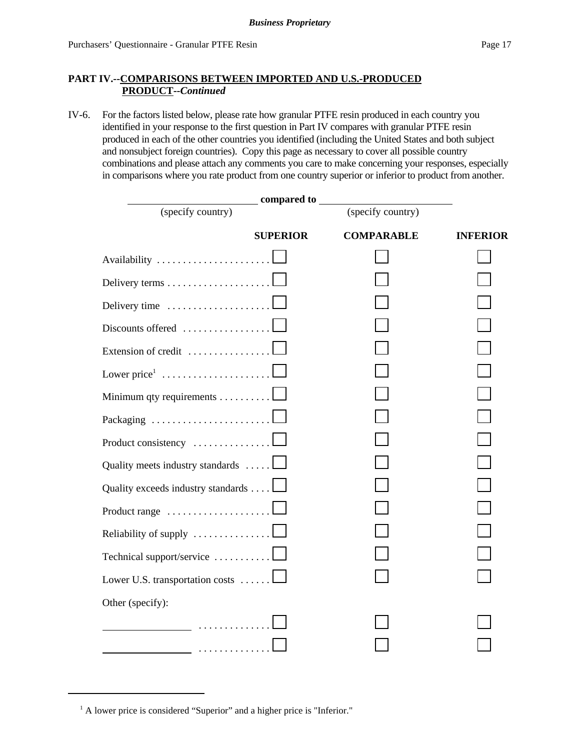### **PART IV.--COMPARISONS BETWEEN IMPORTED AND U.S.-PRODUCED PRODUCT--***Continued*

IV-6. For the factors listed below, please rate how granular PTFE resin produced in each country you identified in your response to the first question in Part IV compares with granular PTFE resin produced in each of the other countries you identified (including the United States and both subject and nonsubject foreign countries). Copy this page as necessary to cover all possible country combinations and please attach any comments you care to make concerning your responses, especially in comparisons where you rate product from one country superior or inferior to product from another.

| compared to                                             |                 |                   |                 |  |
|---------------------------------------------------------|-----------------|-------------------|-----------------|--|
| (specify country)                                       |                 | (specify country) |                 |  |
|                                                         | <b>SUPERIOR</b> | <b>COMPARABLE</b> | <b>INFERIOR</b> |  |
| Availability                                            |                 |                   |                 |  |
| Delivery terms                                          |                 |                   |                 |  |
| Delivery time                                           |                 |                   |                 |  |
| Discounts offered                                       |                 |                   |                 |  |
| Extension of credit                                     |                 |                   |                 |  |
| Lower price $1, \ldots, \ldots, \ldots, \ldots, \ldots$ |                 |                   |                 |  |
| Minimum qty requirements                                |                 |                   |                 |  |
| Packaging                                               |                 |                   |                 |  |
| Product consistency                                     |                 |                   |                 |  |
| Quality meets industry standards                        |                 |                   |                 |  |
| Quality exceeds industry standards                      |                 |                   |                 |  |
| Product range                                           |                 |                   |                 |  |
| Reliability of supply                                   |                 |                   |                 |  |
| Technical support/service                               |                 |                   |                 |  |
| Lower U.S. transportation costs                         |                 |                   |                 |  |
| Other (specify):                                        |                 |                   |                 |  |
| .                                                       |                 |                   |                 |  |
| <u>.</u>                                                |                 |                   |                 |  |

<sup>&</sup>lt;sup>1</sup> A lower price is considered "Superior" and a higher price is "Inferior."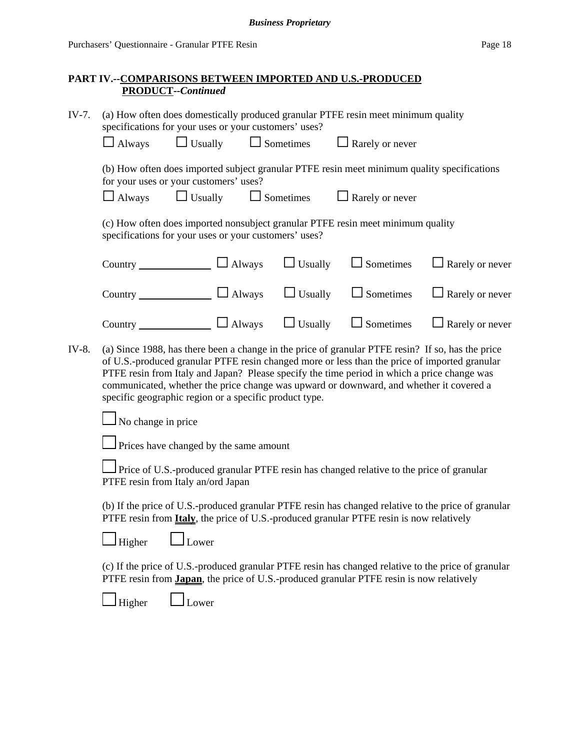### **PART IV.--COMPARISONS BETWEEN IMPORTED AND U.S.-PRODUCED PRODUCT--***Continued*

| IV-7.                                                                                                                                                                                                               | (a) How often does domestically produced granular PTFE resin meet minimum quality<br>specifications for your uses or your customers' uses?                                                                                                                                                                                                                                                                                                             |                |                                        |                  |                        |                        |
|---------------------------------------------------------------------------------------------------------------------------------------------------------------------------------------------------------------------|--------------------------------------------------------------------------------------------------------------------------------------------------------------------------------------------------------------------------------------------------------------------------------------------------------------------------------------------------------------------------------------------------------------------------------------------------------|----------------|----------------------------------------|------------------|------------------------|------------------------|
|                                                                                                                                                                                                                     | $\Box$ Always                                                                                                                                                                                                                                                                                                                                                                                                                                          | $\Box$ Usually |                                        | $\Box$ Sometimes | $\Box$ Rarely or never |                        |
| (b) How often does imported subject granular PTFE resin meet minimum quality specifications<br>for your uses or your customers' uses?<br>$\Box$ Usually $\Box$ Sometimes<br>$\Box$ Always<br>$\Box$ Rarely or never |                                                                                                                                                                                                                                                                                                                                                                                                                                                        |                |                                        |                  |                        |                        |
|                                                                                                                                                                                                                     | (c) How often does imported nonsubject granular PTFE resin meet minimum quality<br>specifications for your uses or your customers' uses?                                                                                                                                                                                                                                                                                                               |                |                                        |                  |                        |                        |
|                                                                                                                                                                                                                     | Country $\Box$ Always                                                                                                                                                                                                                                                                                                                                                                                                                                  |                |                                        | $\Box$ Usually   | $\Box$ Sometimes       | $\Box$ Rarely or never |
|                                                                                                                                                                                                                     | Country $\Box$ Always $\Box$ Usually                                                                                                                                                                                                                                                                                                                                                                                                                   |                |                                        |                  | $\Box$ Sometimes       | $\Box$ Rarely or never |
|                                                                                                                                                                                                                     | Country $\Box$ Always $\Box$ Usually                                                                                                                                                                                                                                                                                                                                                                                                                   |                |                                        |                  | $\Box$ Sometimes       | $\Box$ Rarely or never |
| IV-8.                                                                                                                                                                                                               | (a) Since 1988, has there been a change in the price of granular PTFE resin? If so, has the price<br>of U.S.-produced granular PTFE resin changed more or less than the price of imported granular<br>PTFE resin from Italy and Japan? Please specify the time period in which a price change was<br>communicated, whether the price change was upward or downward, and whether it covered a<br>specific geographic region or a specific product type. |                |                                        |                  |                        |                        |
| No change in price                                                                                                                                                                                                  |                                                                                                                                                                                                                                                                                                                                                                                                                                                        |                |                                        |                  |                        |                        |
|                                                                                                                                                                                                                     |                                                                                                                                                                                                                                                                                                                                                                                                                                                        |                | Prices have changed by the same amount |                  |                        |                        |
| Price of U.S.-produced granular PTFE resin has changed relative to the price of granular<br>PTFE resin from Italy an/ord Japan                                                                                      |                                                                                                                                                                                                                                                                                                                                                                                                                                                        |                |                                        |                  |                        |                        |
|                                                                                                                                                                                                                     | (b) If the price of U.S.-produced granular PTFE resin has changed relative to the price of granular<br>PTFE resin from <b>Italy</b> , the price of U.S.-produced granular PTFE resin is now relatively                                                                                                                                                                                                                                                 |                |                                        |                  |                        |                        |
| Higher<br>Lower                                                                                                                                                                                                     |                                                                                                                                                                                                                                                                                                                                                                                                                                                        |                |                                        |                  |                        |                        |
| (c) If the price of U.S.-produced granular PTFE resin has changed relative to the price of granular<br>PTFE resin from <b>Japan</b> , the price of U.S.-produced granular PTFE resin is now relatively              |                                                                                                                                                                                                                                                                                                                                                                                                                                                        |                |                                        |                  |                        |                        |
|                                                                                                                                                                                                                     | Higher                                                                                                                                                                                                                                                                                                                                                                                                                                                 | Lower          |                                        |                  |                        |                        |